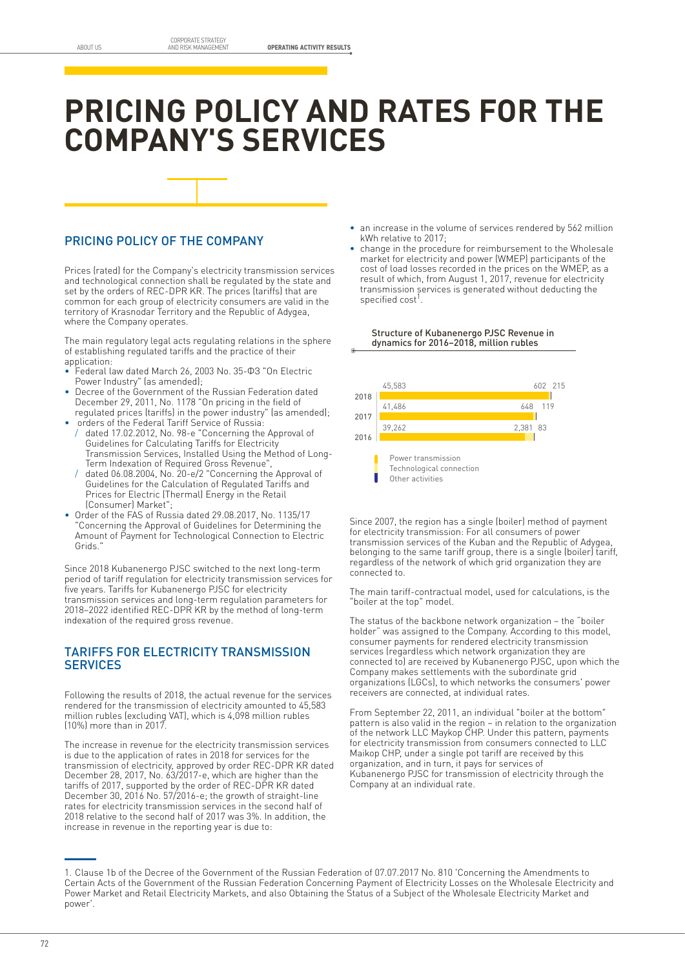# **PRICING POLICY AND RATES FOR THE COMPANY'S SERVICES**

## PRICING POLICY OF THE COMPANY

Prices (rated) for the Company's electricity transmission services and technological connection shall be regulated by the state and set by the orders of REC-DPR KR. The prices (tariffs) that are common for each group of electricity consumers are valid in the territory of Krasnodar Territory and the Republic of Adygea, where the Company operates.

The main regulatory legal acts regulating relations in the sphere of establishing regulated tariffs and the practice of their application:

- Federal law dated March 26, 2003 No. 35-ФЗ "On Electric Power Industry" (as amended);
- Decree of the Government of the Russian Federation dated December 29, 2011, No. 1178 "On pricing in the field of regulated prices (tariffs) in the power industry" (as amended);
- orders of the Federal Tariff Service of Russia: dated 17.02.2012, No. 98-e "Concerning the Approval of
- Guidelines for Calculating Tariffs for Electricity Transmission Services, Installed Using the Method of Long-Term Indexation of Required Gross Revenue",
- dated 06.08.2004, No. 20-e/2 "Concerning the Approval of Guidelines for the Calculation of Regulated Tariffs and Prices for Electric (Thermal) Energy in the Retail (Consumer) Market";
- Order of the FAS of Russia dated 29.08.2017, No. 1135/17 "Concerning the Approval of Guidelines for Determining the Amount of Payment for Technological Connection to Electric Grids."

Since 2018 Kubanenergo PJSC switched to the next long-term period of tariff regulation for electricity transmission services for five years. Tariffs for Kubanenergo PJSC for electricity transmission services and long-term regulation parameters for 2018–2022 identified REC-DPR KR by the method of long-term indexation of the required gross revenue.

### TARIFFS FOR ELECTRICITY TRANSMISSION **SERVICES**

Following the results of 2018, the actual revenue for the services rendered for the transmission of electricity amounted to 45,583 million rubles (excluding VAT), which is 4,098 million rubles (10%) more than in 2017.

The increase in revenue for the electricity transmission services is due to the application of rates in 2018 for services for the transmission of electricity, approved by order REC-DPR KR dated December 28, 2017, No. 63/2017-e, which are higher than the tariffs of 2017, supported by the order of REC-DPR KR dated December 30, 2016 No. 57/2016-e; the growth of straight-line rates for electricity transmission services in the second half of 2018 relative to the second half of 2017 was 3%. In addition, the increase in revenue in the reporting year is due to:

- an increase in the volume of services rendered by 562 million kWh relative to 2017;
- change in the procedure for reimbursement to the Wholesale market for electricity and power (WMEP) participants of the cost of load losses recorded in the prices on the WMEP, as a result of which, from August 1, 2017, revenue for electricity transmission services is generated without deducting the specified cost<sup>1</sup>.

#### Structure of Kubanenergo PJSC Revenue in dynamics for 2016–2018, million rubles



Since 2007, the region has a single (boiler) method of payment for electricity transmission: For all consumers of power transmission services of the Kuban and the Republic of Adygea, belonging to the same tariff group, there is a single (boiler) tariff, regardless of the network of which grid organization they are connected to.

The main tariff-contractual model, used for calculations, is the "boiler at the top" model.

The status of the backbone network organization – the "boiler holder" was assigned to the Company. According to this model, consumer payments for rendered electricity transmission services (regardless which network organization they are connected to) are received by Kubanenergo PJSC, upon which the Company makes settlements with the subordinate grid organizations (LGCs), to which networks the consumers' power receivers are connected, at individual rates.

From September 22, 2011, an individual "boiler at the bottom" pattern is also valid in the region – in relation to the organization of the network LLC Maykop CHP. Under this pattern, payments for electricity transmission from consumers connected to LLC Maikop CHP, under a single pot tariff are received by this organization, and in turn, it pays for services of Kubanenergo PJSC for transmission of electricity through the Company at an individual rate.

<sup>1.</sup> Clause 1b of the Decree of the Government of the Russian Federation of 07.07.2017 No. 810 'Concerning the Amendments to Certain Acts of the Government of the Russian Federation Concerning Payment of Electricity Losses on the Wholesale Electricity and Power Market and Retail Electricity Markets, and also Obtaining the Status of a Subject of the Wholesale Electricity Market and power'.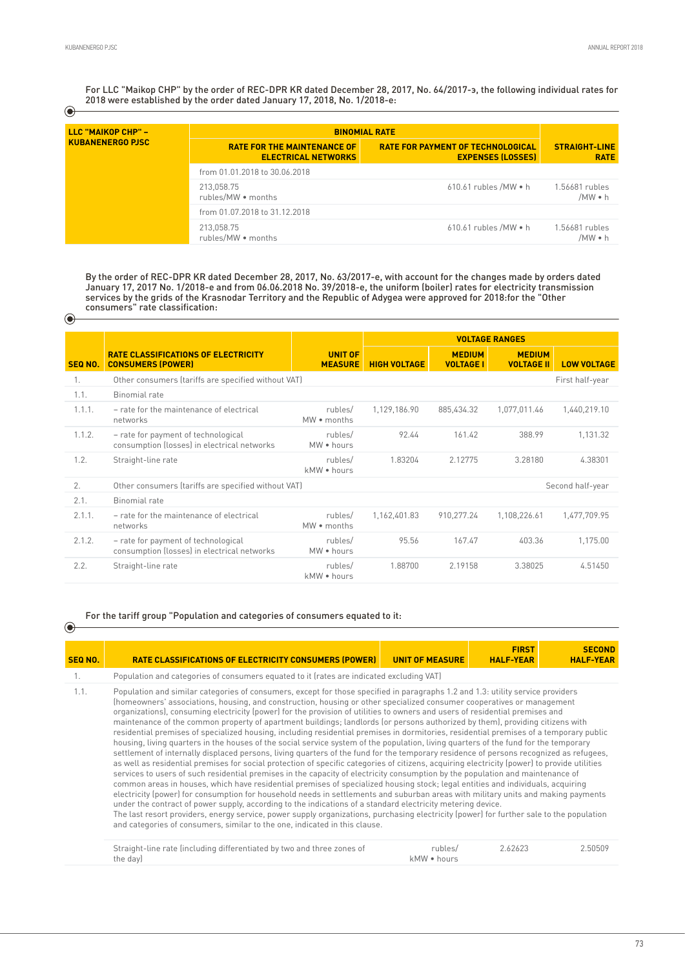$\odot$ 

 $\odot$ 

 $\odot$ 

For LLC "Maikop CHP" by the order of REC-DPR KR dated December 28, 2017, No. 64/2017-э, the following individual rates for 2018 were established by the order dated January 17, 2018, No. 1/2018-e:

| LLC "MAIKOP CHP" -<br><b>KUBANENERGO PJSC</b> | <b>BINOMIAL RATE</b>                                             |                                                                      |                                     |
|-----------------------------------------------|------------------------------------------------------------------|----------------------------------------------------------------------|-------------------------------------|
|                                               | <b>RATE FOR THE MAINTENANCE OF</b><br><b>ELECTRICAL NETWORKS</b> | <b>RATE FOR PAYMENT OF TECHNOLOGICAL</b><br><b>EXPENSES (LOSSES)</b> | <b>STRAIGHT-LINE</b><br><b>RATE</b> |
|                                               | from 01.01.2018 to 30.06.2018                                    |                                                                      |                                     |
|                                               | 213,058.75<br>rubles/MW . months                                 | $610.61$ rubles /MW $\bullet$ h                                      | 1.56681 rubles<br>/MW • h           |
|                                               | from 01.07.2018 to 31.12.2018                                    |                                                                      |                                     |
|                                               | 213,058.75<br>rubles/MW . months                                 | $610.61$ rubles /MW $\bullet$ h                                      | 1.56681 rubles<br>/MW • h           |

By the order of REC-DPR KR dated December 28, 2017, No. 63/2017-e, with account for the changes made by orders dated January 17, 2017 No. 1/2018-e and from 06.06.2018 No. 39/2018-e, the uniform (boiler) rates for electricity transmission services by the grids of the Krasnodar Territory and the Republic of Adygea were approved for 2018:for the "Other consumers" rate classification:

|                |                                                                                    |                                  | <b>VOLTAGE RANGES</b> |                                   |                                    |                    |
|----------------|------------------------------------------------------------------------------------|----------------------------------|-----------------------|-----------------------------------|------------------------------------|--------------------|
| <b>SEQ NO.</b> | <b>RATE CLASSIFICATIONS OF ELECTRICITY</b><br><b>CONSUMERS (POWER)</b>             | <b>UNIT OF</b><br><b>MEASURE</b> | <b>HIGH VOLTAGE</b>   | <b>MEDIUM</b><br><b>VOLTAGE I</b> | <b>MEDIUM</b><br><b>VOLTAGE II</b> | <b>LOW VOLTAGE</b> |
| Ι.             | Other consumers (tariffs are specified without VAT)                                |                                  |                       |                                   |                                    | First half-year    |
| 1.1.           | Binomial rate                                                                      |                                  |                       |                                   |                                    |                    |
| 1.1.1.         | - rate for the maintenance of electrical<br>networks                               | rubles/<br>MW • months           | 1,129,186.90          | 885.434.32                        | 1.077.011.46                       | 1,440,219.10       |
| 1.1.2.         | - rate for payment of technological<br>consumption (losses) in electrical networks | rubles/<br>MW . hours            | 92.44                 | 161.42                            | 388.99                             | 1,131.32           |
| 1.2.           | Straight-line rate                                                                 | rubles/<br>kMW . hours           | 1.83204               | 2.12775                           | 3.28180                            | 4.38301            |
| 2.             | Other consumers (tariffs are specified without VAT)                                |                                  |                       |                                   |                                    | Second half-year   |
| 2.1.           | Binomial rate                                                                      |                                  |                       |                                   |                                    |                    |
| 2.1.1.         | - rate for the maintenance of electrical<br>networks                               | rubles/<br>MW • months           | 1,162,401.83          | 910,277.24                        | 1,108,226.61                       | 1,477,709.95       |
| 2.1.2.         | - rate for payment of technological<br>consumption (losses) in electrical networks | rubles/<br>MW . hours            | 95.56                 | 167.47                            | 403.36                             | 1.175.00           |
| 2.2.           | Straight-line rate                                                                 | rubles/<br>kMW • hours           | 1.88700               | 2.19158                           | 3.38025                            | 4.51450            |

#### For the tariff group "Population and categories of consumers equated to it:

| <b>SEQ NO.</b> | <b>RATE CLASSIFICATIONS OF ELECTRICITY CONSUMERS (POWER)</b>                                                                                                                                                                                                                                                                                                                                                                                                                                                                                                                                                                                                                                                                                                                                                                                                                                                                                                                                                                                                                                                                                                                                                                                                                                                                                                                                                                                                                                                                                                                                                                                                                                                                                                                                                                                              | <b>UNIT OF MEASURE</b> | <b>FIRST</b><br><b>HALF-YEAR</b> | <b>SECOND</b><br><b>HALF-YEAR</b> |  |  |
|----------------|-----------------------------------------------------------------------------------------------------------------------------------------------------------------------------------------------------------------------------------------------------------------------------------------------------------------------------------------------------------------------------------------------------------------------------------------------------------------------------------------------------------------------------------------------------------------------------------------------------------------------------------------------------------------------------------------------------------------------------------------------------------------------------------------------------------------------------------------------------------------------------------------------------------------------------------------------------------------------------------------------------------------------------------------------------------------------------------------------------------------------------------------------------------------------------------------------------------------------------------------------------------------------------------------------------------------------------------------------------------------------------------------------------------------------------------------------------------------------------------------------------------------------------------------------------------------------------------------------------------------------------------------------------------------------------------------------------------------------------------------------------------------------------------------------------------------------------------------------------------|------------------------|----------------------------------|-----------------------------------|--|--|
|                | Population and categories of consumers equated to it (rates are indicated excluding VAT)                                                                                                                                                                                                                                                                                                                                                                                                                                                                                                                                                                                                                                                                                                                                                                                                                                                                                                                                                                                                                                                                                                                                                                                                                                                                                                                                                                                                                                                                                                                                                                                                                                                                                                                                                                  |                        |                                  |                                   |  |  |
| 1.1.           | Population and similar categories of consumers, except for those specified in paragraphs 1.2 and 1.3: utility service providers<br>(homeowners' associations, housing, and construction, housing or other specialized consumer cooperatives or management<br>organizations), consuming electricity (power) for the provision of utilities to owners and users of residential premises and<br>maintenance of the common property of apartment buildings; landlords (or persons authorized by them), providing citizens with<br>residential premises of specialized housing, including residential premises in dormitories, residential premises of a temporary public<br>housing, living quarters in the houses of the social service system of the population, living quarters of the fund for the temporary<br>settlement of internally displaced persons, living quarters of the fund for the temporary residence of persons recognized as refugees,<br>as well as residential premises for social protection of specific categories of citizens, acquiring electricity (power) to provide utilities<br>services to users of such residential premises in the capacity of electricity consumption by the population and maintenance of<br>common areas in houses, which have residential premises of specialized housing stock; legal entities and individuals, acquiring<br>electricity (power) for consumption for household needs in settlements and suburban areas with military units and making payments<br>under the contract of power supply, according to the indications of a standard electricity metering device.<br>The last resort providers, energy service, power supply organizations, purchasing electricity (power) for further sale to the population<br>and categories of consumers, similar to the one, indicated in this clause. |                        |                                  |                                   |  |  |
|                | Straight-line rate fincluding differentiated by two and three zones of                                                                                                                                                                                                                                                                                                                                                                                                                                                                                                                                                                                                                                                                                                                                                                                                                                                                                                                                                                                                                                                                                                                                                                                                                                                                                                                                                                                                                                                                                                                                                                                                                                                                                                                                                                                    | rubles/                | 262623                           | 250509                            |  |  |

Straight-line rate (including differentiated by two and three zones of the day) rubles/ kMW • hours 2.62623 2.50509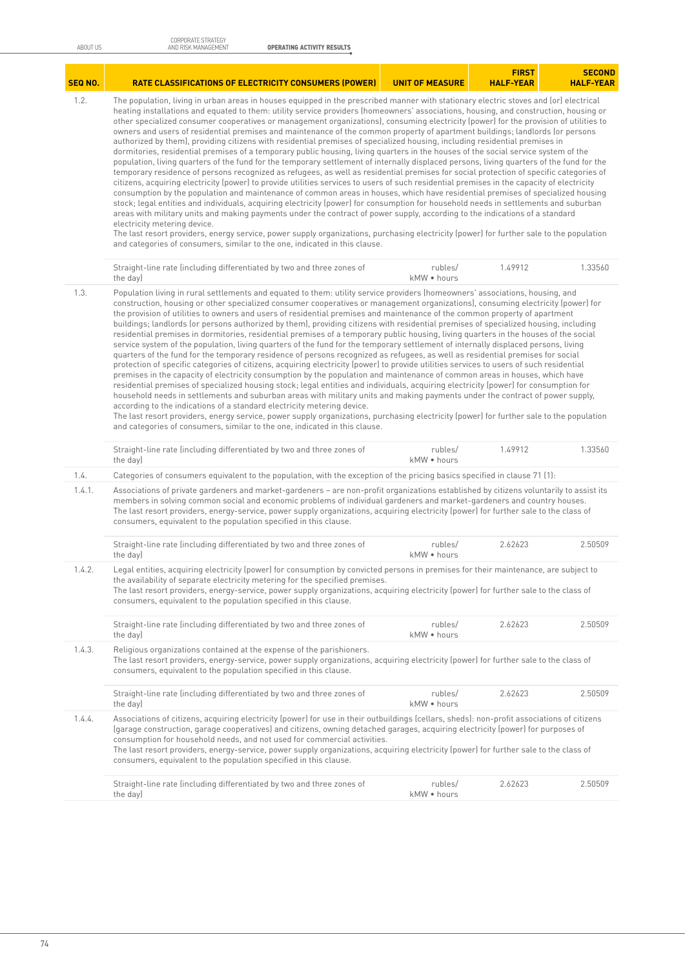| <b>SEQ NO.</b> | <b>RATE CLASSIFICATIONS OF ELECTRICITY CONSUMERS (POWER)</b>                                                                                                                                                                                                                                                                                                                                                                                                                                                                                                                                                                                                                                                                                                                                                                                                                                                                                                                                                                                                                                                                                                                                                                                                                                                                                                                                                                                                                                                                                                                                                                                                                                                                                                                                                                                                                                                                            | <b>UNIT OF MEASURE</b> | <b>FIRST</b><br><b>HALF-YEAR</b> | <b>SECOND</b><br><b>HALF-YEAR</b> |  |  |  |
|----------------|-----------------------------------------------------------------------------------------------------------------------------------------------------------------------------------------------------------------------------------------------------------------------------------------------------------------------------------------------------------------------------------------------------------------------------------------------------------------------------------------------------------------------------------------------------------------------------------------------------------------------------------------------------------------------------------------------------------------------------------------------------------------------------------------------------------------------------------------------------------------------------------------------------------------------------------------------------------------------------------------------------------------------------------------------------------------------------------------------------------------------------------------------------------------------------------------------------------------------------------------------------------------------------------------------------------------------------------------------------------------------------------------------------------------------------------------------------------------------------------------------------------------------------------------------------------------------------------------------------------------------------------------------------------------------------------------------------------------------------------------------------------------------------------------------------------------------------------------------------------------------------------------------------------------------------------------|------------------------|----------------------------------|-----------------------------------|--|--|--|
| 1.2.           | The population, living in urban areas in houses equipped in the prescribed manner with stationary electric stoves and (or) electrical<br>heating installations and equated to them: utility service providers (homeowners' associations, housing, and construction, housing or<br>other specialized consumer cooperatives or management organizations), consuming electricity (power) for the provision of utilities to<br>owners and users of residential premises and maintenance of the common property of apartment buildings; landlords (or persons<br>authorized by them), providing citizens with residential premises of specialized housing, including residential premises in<br>dormitories, residential premises of a temporary public housing, living quarters in the houses of the social service system of the<br>population, living quarters of the fund for the temporary settlement of internally displaced persons, living quarters of the fund for the<br>temporary residence of persons recognized as refugees, as well as residential premises for social protection of specific categories of<br>citizens, acquiring electricity (power) to provide utilities services to users of such residential premises in the capacity of electricity<br>consumption by the population and maintenance of common areas in houses, which have residential premises of specialized housing<br>stock; legal entities and individuals, acquiring electricity (power) for consumption for household needs in settlements and suburban<br>areas with military units and making payments under the contract of power supply, according to the indications of a standard<br>electricity metering device.<br>The last resort providers, energy service, power supply organizations, purchasing electricity (power) for further sale to the population<br>and categories of consumers, similar to the one, indicated in this clause. |                        |                                  |                                   |  |  |  |
|                | Straight-line rate (including differentiated by two and three zones of<br>the day)                                                                                                                                                                                                                                                                                                                                                                                                                                                                                                                                                                                                                                                                                                                                                                                                                                                                                                                                                                                                                                                                                                                                                                                                                                                                                                                                                                                                                                                                                                                                                                                                                                                                                                                                                                                                                                                      | rubles/<br>kMW . hours | 1.49912                          | 1.33560                           |  |  |  |
| 1.3.           | Population living in rural settlements and equated to them: utility service providers (homeowners' associations, housing, and<br>construction, housing or other specialized consumer cooperatives or management organizations), consuming electricity (power) for<br>the provision of utilities to owners and users of residential premises and maintenance of the common property of apartment<br>buildings; landlords (or persons authorized by them), providing citizens with residential premises of specialized housing, including<br>residential premises in dormitories, residential premises of a temporary public housing, living quarters in the houses of the social<br>service system of the population, living quarters of the fund for the temporary settlement of internally displaced persons, living<br>quarters of the fund for the temporary residence of persons recognized as refugees, as well as residential premises for social<br>protection of specific categories of citizens, acquiring electricity (power) to provide utilities services to users of such residential<br>premises in the capacity of electricity consumption by the population and maintenance of common areas in houses, which have<br>residential premises of specialized housing stock; legal entities and individuals, acquiring electricity (power) for consumption for<br>household needs in settlements and suburban areas with military units and making payments under the contract of power supply,<br>according to the indications of a standard electricity metering device.<br>The last resort providers, energy service, power supply organizations, purchasing electricity (power) for further sale to the population<br>and categories of consumers, similar to the one, indicated in this clause.                                                                                                                         |                        |                                  |                                   |  |  |  |
|                | Straight-line rate (including differentiated by two and three zones of<br>the day)                                                                                                                                                                                                                                                                                                                                                                                                                                                                                                                                                                                                                                                                                                                                                                                                                                                                                                                                                                                                                                                                                                                                                                                                                                                                                                                                                                                                                                                                                                                                                                                                                                                                                                                                                                                                                                                      | rubles/<br>kMW . hours | 1.49912                          | 1.33560                           |  |  |  |
| 1.4.           | Categories of consumers equivalent to the population, with the exception of the pricing basics specified in clause 71 (1):                                                                                                                                                                                                                                                                                                                                                                                                                                                                                                                                                                                                                                                                                                                                                                                                                                                                                                                                                                                                                                                                                                                                                                                                                                                                                                                                                                                                                                                                                                                                                                                                                                                                                                                                                                                                              |                        |                                  |                                   |  |  |  |
| 1.4.1.         | Associations of private gardeners and market-gardeners - are non-profit organizations established by citizens voluntarily to assist its<br>members in solving common social and economic problems of individual gardeners and market-gardeners and country houses.<br>The last resort providers, energy-service, power supply organizations, acquiring electricity (power) for further sale to the class of<br>consumers, equivalent to the population specified in this clause.                                                                                                                                                                                                                                                                                                                                                                                                                                                                                                                                                                                                                                                                                                                                                                                                                                                                                                                                                                                                                                                                                                                                                                                                                                                                                                                                                                                                                                                        |                        |                                  |                                   |  |  |  |
|                | Straight-line rate (including differentiated by two and three zones of<br>the day)                                                                                                                                                                                                                                                                                                                                                                                                                                                                                                                                                                                                                                                                                                                                                                                                                                                                                                                                                                                                                                                                                                                                                                                                                                                                                                                                                                                                                                                                                                                                                                                                                                                                                                                                                                                                                                                      | rubles/<br>kMW . hours | 2.62623                          | 2.50509                           |  |  |  |
| 1.4.2.         | Legal entities, acquiring electricity (power) for consumption by convicted persons in premises for their maintenance, are subject to<br>the availability of separate electricity metering for the specified premises.<br>The last resort providers, energy-service, power supply organizations, acquiring electricity (power) for further sale to the class of<br>consumers, equivalent to the population specified in this clause.                                                                                                                                                                                                                                                                                                                                                                                                                                                                                                                                                                                                                                                                                                                                                                                                                                                                                                                                                                                                                                                                                                                                                                                                                                                                                                                                                                                                                                                                                                     |                        |                                  |                                   |  |  |  |
|                | Straight-line rate (including differentiated by two and three zones of<br>the day)                                                                                                                                                                                                                                                                                                                                                                                                                                                                                                                                                                                                                                                                                                                                                                                                                                                                                                                                                                                                                                                                                                                                                                                                                                                                                                                                                                                                                                                                                                                                                                                                                                                                                                                                                                                                                                                      | rubles/<br>kMW . hours | 2.62623                          | 2.50509                           |  |  |  |
| 1.4.3.         | Religious organizations contained at the expense of the parishioners.<br>The last resort providers, energy-service, power supply organizations, acquiring electricity (power) for further sale to the class of<br>consumers, equivalent to the population specified in this clause.                                                                                                                                                                                                                                                                                                                                                                                                                                                                                                                                                                                                                                                                                                                                                                                                                                                                                                                                                                                                                                                                                                                                                                                                                                                                                                                                                                                                                                                                                                                                                                                                                                                     |                        |                                  |                                   |  |  |  |
|                | Straight-line rate (including differentiated by two and three zones of<br>the day)                                                                                                                                                                                                                                                                                                                                                                                                                                                                                                                                                                                                                                                                                                                                                                                                                                                                                                                                                                                                                                                                                                                                                                                                                                                                                                                                                                                                                                                                                                                                                                                                                                                                                                                                                                                                                                                      | rubles/<br>kMW . hours | 2.62623                          | 2.50509                           |  |  |  |
| 1.4.4.         | Associations of citizens, acquiring electricity (power) for use in their outbuildings (cellars, sheds): non-profit associations of citizens<br>(garage construction, garage cooperatives) and citizens, owning detached garages, acquiring electricity (power) for purposes of<br>consumption for household needs, and not used for commercial activities.<br>The last resort providers, energy-service, power supply organizations, acquiring electricity (power) for further sale to the class of<br>consumers, equivalent to the population specified in this clause.                                                                                                                                                                                                                                                                                                                                                                                                                                                                                                                                                                                                                                                                                                                                                                                                                                                                                                                                                                                                                                                                                                                                                                                                                                                                                                                                                                |                        |                                  |                                   |  |  |  |
|                | Straight-line rate (including differentiated by two and three zones of<br>the day)                                                                                                                                                                                                                                                                                                                                                                                                                                                                                                                                                                                                                                                                                                                                                                                                                                                                                                                                                                                                                                                                                                                                                                                                                                                                                                                                                                                                                                                                                                                                                                                                                                                                                                                                                                                                                                                      | rubles/<br>kMW . hours | 2.62623                          | 2.50509                           |  |  |  |